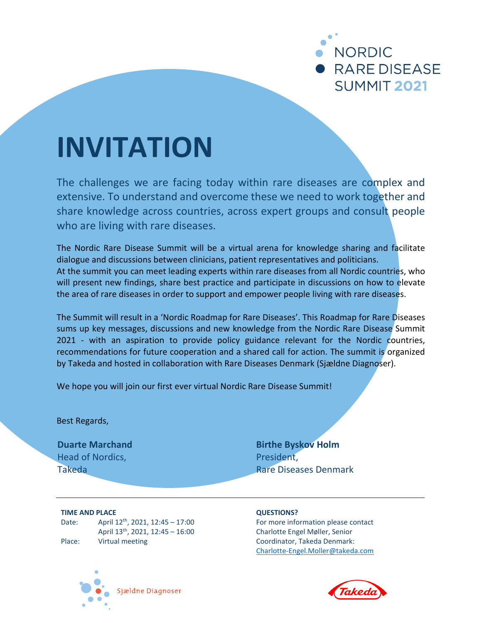

# **INVITATION**

The challenges we are facing today within rare diseases are complex and extensive. To understand and overcome these we need to work together and share knowledge across countries, across expert groups and consult people who are living with rare diseases.

The Nordic Rare Disease Summit will be a virtual arena for knowledge sharing and facilitate dialogue and discussions between clinicians, patient representatives and politicians. At the summit you can meet leading experts within rare diseases from all Nordic countries, who will present new findings, share best practice and participate in discussions on how to elevate the area of rare diseases in order to support and empower people living with rare diseases.

The Summit will result in a 'Nordic Roadmap for Rare Diseases'. This Roadmap for Rare Diseases sums up key messages, discussions and new knowledge from the Nordic Rare Disease Summit 2021 - with an aspiration to provide policy guidance relevant for the Nordic countries, recommendations for future cooperation and a shared call for action. The summit is organized by Takeda and hosted in collaboration with Rare Diseases Denmark (Sjældne Diagnoser).

We hope you will join our first ever virtual Nordic Rare Disease Summit!

Best Regards,

**Duarte Marchand** Head of Nordics, Takeda

**Birthe Byskov Holm** President, Rare Diseases Denmark

**TIME AND PLACE** Date: April 12<sup>th</sup>, 2021, 12:45 - 17:00 April 13th, 2021, 12:45 – 16:00 Place: Virtual meeting

## **QUESTIONS?**

For more information please contact Charlotte Engel Møller, Senior Coordinator, Takeda Denmark: [Charlotte-Engel.Moller@takeda.com](mailto:Charlotte-Engel.Moller@takeda.com)



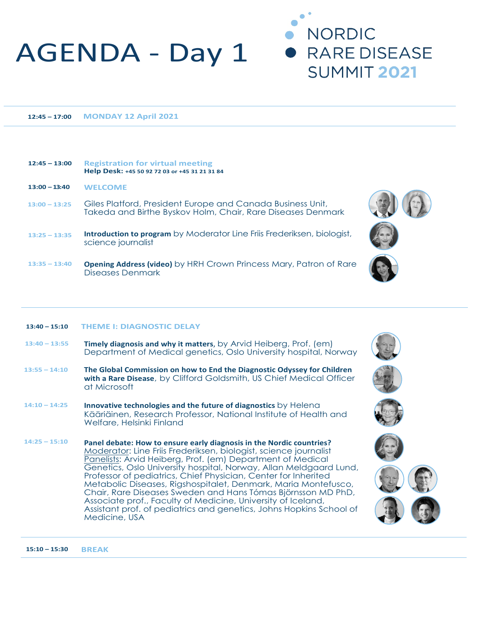## AGENDA - Day 1

 **12:45 – 17:00 MONDAY 12 April 2021**

#### **12:45 – 13:00 Registration for virtual meeting Help Desk: +45 50 92 72 03 or +45 31 21 31 84**

| $13:00 - 13:40$ | <b>WELCOME</b> |
|-----------------|----------------|
|-----------------|----------------|

- **13:00 – 13:25** Giles Platford, President Europe and Canada Business Unit, Takeda and Birthe Byskov Holm, Chair, Rare Diseases Denmark
- **13:25 – 13:35 Introduction to program** by Moderator Line Friis Frederiksen, biologist, science journalist
- **13:35 – 13:40 Opening Address (video)** by HRH Crown Princess Mary, Patron of Rare Diseases Denmark

## **13:40 – 15:10 THEME I: DIAGNOSTIC DELAY**

- **13:40 – 13:55 Timely diagnosis and why it matters**, by Arvid Heiberg, Prof. (em) Department of Medical genetics, Oslo University hospital, Norway
- **13:55 – 14:10 The Global Commission on how to End the Diagnostic Odyssey for Children with a Rare Disease**, by Clifford Goldsmith, US Chief Medical Officer at Microsoft
- **14:10 – 14:25 Innovative technologies and the future of diagnostics** by Helena Kääriäinen, Research Professor, National Institute of Health and Welfare, Helsinki Finland
- **14:25 – 15:10 Panel debate: How to ensure early diagnosis in the Nordic countries?**  Moderator: Line Friis Frederiksen, biologist, science journalist Panelists: Arvid Heiberg, Prof. (em) Department of Medical Genetics, Oslo University hospital, Norway, Allan Meldgaard Lund, Professor of pediatrics, Chief Physician, Center for Inherited Metabolic Diseases, Rigshospitalet, Denmark, Maria Montefusco, Chair, Rare Diseases Sweden and Hans Tómas Björnsson MD PhD, Associate prof., Faculty of Medicine, University of Iceland, Assistant prof. of pediatrics and genetics, Johns Hopkins School of Medicine, USA



**NORDIC** 

**RARE DISEASE** 

**SUMMIT 2021** 









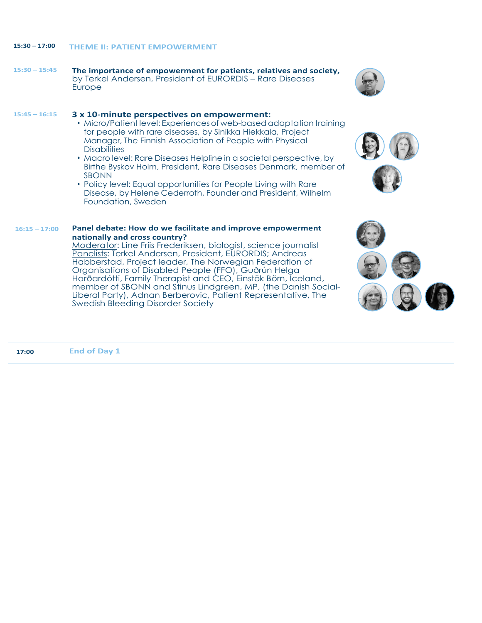## **15:30 – 17:00 THEME II: PATIENT EMPOWERMENT**

 **15:30 – 15:45 The importance of empowerment for patients, relatives and society,** by Terkel Andersen, President of EURORDIS – Rare Diseases Europe

### **15:45 – 16:15 3 x 10-minute perspectives on empowerment:**

- Micro/Patient level: Experiences of web-based adaptation training for people with rare diseases, by Sinikka Hiekkala, Project Manager, The Finnish Association of People with Physical **Disabilities**
- Macro level: Rare Diseases Helpline in a societal perspective, by Birthe Byskov Holm, President, Rare Diseases Denmark, member of SBONN
- Policy level: Equal opportunities for People Living with Rare Disease, by Helene Cederroth, Founder and President, Wilhelm Foundation, Sweden

#### **16:15 – 17:00 Panel debate: How do we facilitate and improve empowerment nationally and cross country?**

Moderator: Line Friis Frederiksen, biologist, science journalist Panelists: Terkel Andersen, President, EURORDIS; Andreas Habberstad, Project leader, The Norwegian Federation of Organisations of Disabled People (FFO), Guðrún Helga Harðardótti, Family Therapist and CEO, Einstök Börn, Iceland, member of SBONN and Stinus Lindgreen, MP, (the Danish Social-Liberal Party), Adnan Berberovic, Patient Representative, The Swedish Bleeding Disorder Society





| 17:00 | <b>End of Day 1</b> |  |
|-------|---------------------|--|
|       |                     |  |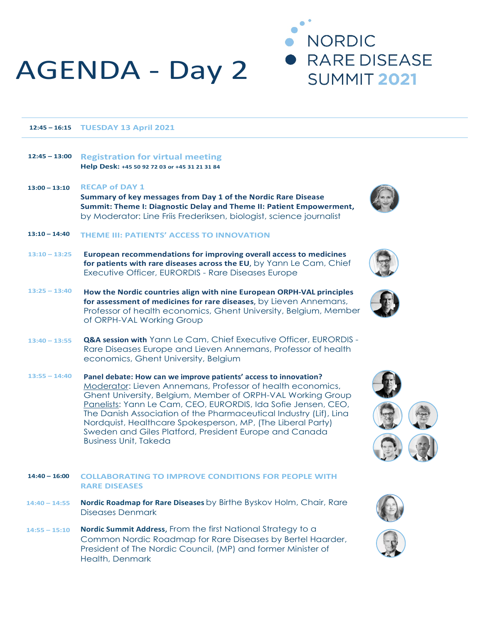# AGENDA - Day 2

 **12:45 – 16:15 TUESDAY 13 April 2021**

#### **12:45 – 13:00 Registration for virtual meeting Help Desk: +45 50 92 72 03 or +45 31 21 31 84**

 **13:00 – 13:10 RECAP of DAY 1 Summary of key messages from Day 1 of the Nordic Rare Disease Summit: Theme I: Diagnostic Delay and Theme II: Patient Empowerment,**  by Moderator: Line Friis Frederiksen, biologist, science journalist

## **13:10 – 14:40 THEME III: PATIENTS' ACCESS TO INNOVATION**

- **13:10 – 13:25 European recommendations for improving overall access to medicines for patients with rare diseases across the EU**, by Yann Le Cam, Chief Executive Officer, EURORDIS - Rare Diseases Europe
- **13:25 – 13:40 How the Nordic countries align with nine European ORPH-VAL principles for assessment of medicines for rare diseases**, by Lieven Annemans, Professor of health economics, Ghent University, Belgium, Member of ORPH-VAL Working Group
- **13:40 – 13:55 Q&A session with** Yann Le Cam, Chief Executive Officer, EURORDIS - Rare Diseases Europe and Lieven Annemans, Professor of health economics, Ghent University, Belgium
- **13:55 – 14:40 Panel debate: How can we improve patients' access to innovation?**  Moderator: Lieven Annemans, Professor of health economics, Ghent University, Belgium, Member of ORPH-VAL Working Group Panelists: Yann Le Cam, CEO, EURORDIS, Ida Sofie Jensen, CEO, The Danish Association of the Pharmaceutical Industry (Lif), Lina Nordquist, Healthcare Spokesperson, MP, (The Liberal Party) Sweden and Giles Platford, President Europe and Canada Business Unit, Takeda

## **14:40 – 16:00 COLLABORATING TO IMPROVE CONDITIONS FOR PEOPLE WITH RARE DISEASES**

- **14:40 – 14:55 Nordic Roadmap for Rare Diseases** by Birthe Byskov Holm, Chair, Rare Diseases Denmark
- **14:55 – 15:10 Nordic Summit Address**, From the first National Strategy to a Common Nordic Roadmap for Rare Diseases by Bertel Haarder, President of The Nordic Council, (MP) and former Minister of Health, Denmark



**NORDIC** 

**RARE DISEASE** 

**SUMMIT 2021**